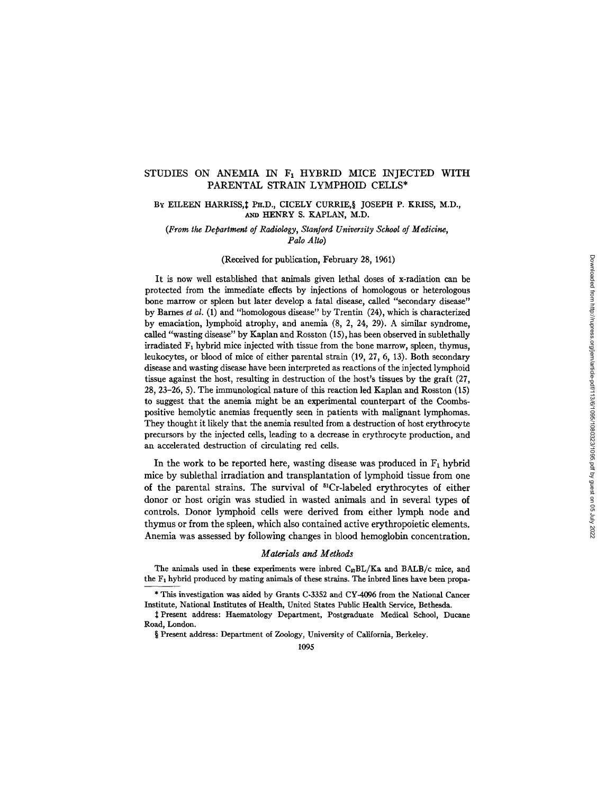# STUDIES ON ANEMIA IN  $F_1$  HYBRID MICE INJECTED WITH PARENTAL STRAIN LYMPHOID CELLS\*

### BY EILEEN HARRISS, † PH.D., CICELY CURRIE, § JOSEPH P. KRISS, M.D., Am) HENRY S. KAPLAN, M.D.

# *(From the Department of Radiology, Stanford University School of Medicine, Palo Alto)*

## (Received for publication, February 28, 1961)

It is now well established that animals given lethal doses of x-radiation can be protected from the immediate effects by injections of homologous or heterologous bone marrow or spleen but later develop a fatal disease, called "secondary disease" by Barnes *et al.* (1) and "homologous disease" by Trentin (24), which is characterized by emaciation, lymphoid atrophy, and anemia (8, 2, 24, 29). A similar syndrome, called "wasting disease" by Kaplan and Rosston (15), has been observed in sublethally irradiated  $F_1$  hybrid mice injected with tissue from the bone marrow, spleen, thymus, leukocytes, or blood of mice of either parental strain (19, 27, 6, 13). Both secondary disease and wasting disease have been interpreted as reactions of the injected lymphoid tissue against the host, resulting in destruction of the host's tissues by the graft (27, 28, 23-26, 5). The immunological nature of this reaction led Kaplan and Rosston (15) to suggest that the anemia might be an experimental counterpart of the Coombspositive hemolytic anemias frequently seen in patients with malignant lymphomas. They thought it likely that the anemia resulted from a destruction of host erythrocyte precursors by the injected cells, leading to a decrease in erythrocyte production, and an accelerated destruction of circulating red ceils.

In the work to be reported here, wasting disease was produced in  $F_1$  hybrid mice by sublethal irradiation and transplantation of lymphoid tissue from one of the parental strains. The survival of 51Cr-labeled erythrocytes of either donor or host origin was studied in wasted animals and in several types of controls. Donor lymphoid cells were derived from either lymph node and thymus or from the spleen, which also contained active erythropoietic elements. Anemia was assessed by following changes in blood hemoglobin concentration.

#### *Materials and Methods*

The animals used in these experiments were inbred  $C_{57}BL/Ka$  and BALB/c mice, and the  $F_1$  hybrid produced by mating animals of these strains. The inbred lines have been propa-

§ Present address: Department of Zoology, University of California, Berkeley.

<sup>\*</sup> This investigation was aided by Grants C-3352 and CY-4096 from the National Cancer Institute, National Institutes of Health, United States Public Health Service, Bethesda.

<sup>:~</sup> Present address: Haematology Department, Postgraduate Medical School, Ducane Road, London.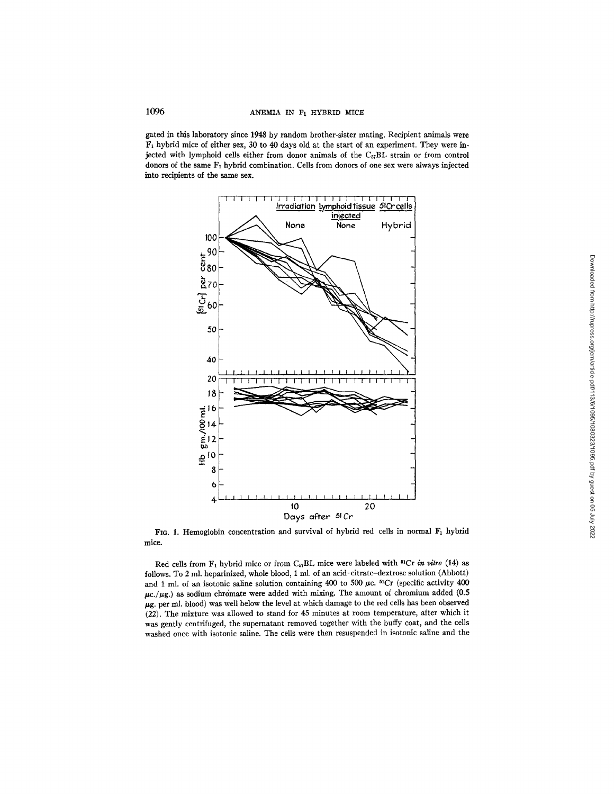gated in this laboratory since 1948 by random brother-sister mating. Recipient animals were  $F_1$  hybrid mice of either sex, 30 to 40 days old at the start of an experiment. They were injected with lymphoid cells either from donor animals of the C57BL strain or from control donors of the same  $F_1$  hybrid combination. Cells from donors of one sex were always injected into recipients of the same sex.



FIG. 1. Hemoglobin concentration and survival of hybrid red cells in normal  $F_1$  hybrid mice.

Red cells from  $F_1$  hybrid mice or from C<sub>57</sub>BL mice were labeled with <sup>51</sup>Cr *in vitro* (14) as follows. To 2 ml. heparinized, whole blood, 1 ml. of an acid-citrate-dextrose solution (Abbott) and 1 ml. of an isotonic saline solution containing 400 to 500  $\mu$ c. <sup>51</sup>Cr (specific activity 400  $\mu$ c./ $\mu$ g.) as sodium chromate were added with mixing. The amount of chromium added (0.5  $\mu$ g. per ml. blood) was well below the level at which damage to the red cells has been observed (22). The mixture was allowed to stand for 45 minutes at room temperature, after which it was gently centrifuged, the supernatant removed together with the buffy coat, and the cells washed once with isotonic saline. The cells were then resuspended in isotonic saline and the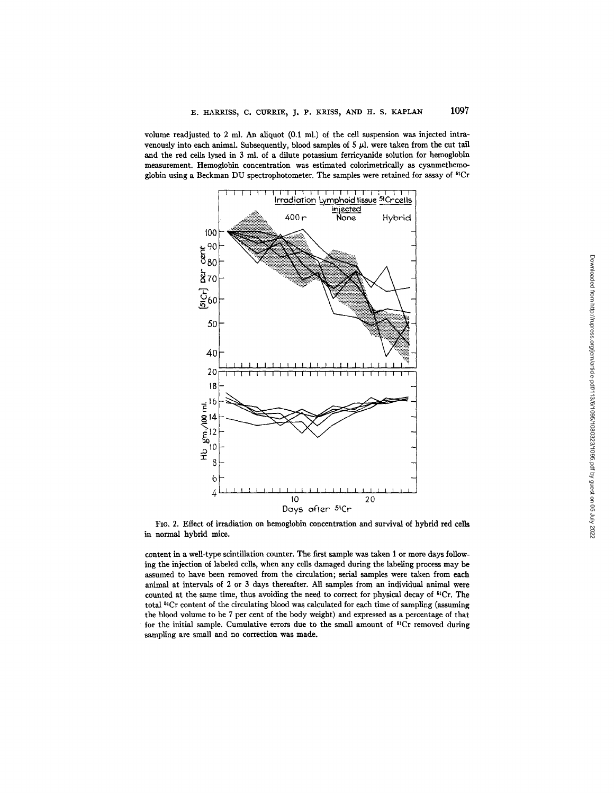volume readjusted to 2 ml. An aliquot (0.1 ml.) of the cell suspension was injected intravenously into each animal. Subsequently, blood samples of  $5 \mu$ l. were taken from the cut tail and the red ceils lysed in 3 ml. of a dilute potassium ferricyanide solution for hemoglobin measurement. Hemoglobin concentration was estimated colorimetrically as cyanmethemoglobin using a Beckman DU spectrophotometer. The samples were retained for assay of <sup>51</sup>Cr



FIG. 2. Effect of irradiation on hemoglobin concentration and survival of hybrid red cells in normal hybrid mice.

content in a well-type scintillation counter. The first sample was taken 1 or more days following the injection of labeled cells, when any cells damaged during the labeling process may be assumed to have been removed from the circulation; serial samples were taken from each animal at intervals of 2 or 3 days thereafter. All samples from an individuai animal were counted at the same time, thus avoiding the need to correct for physical decay of <sup>51</sup>Cr. The total <sup>51</sup>Cr content of the circulating blood was calculated for each time of sampling (assuming the blood volume to be 7 per cent of the body weight) and expressed as a percentage of that for the initial sample. Cumulative errors due to the small amount of  $^{51}Cr$  removed during sampling are small and no correction was made.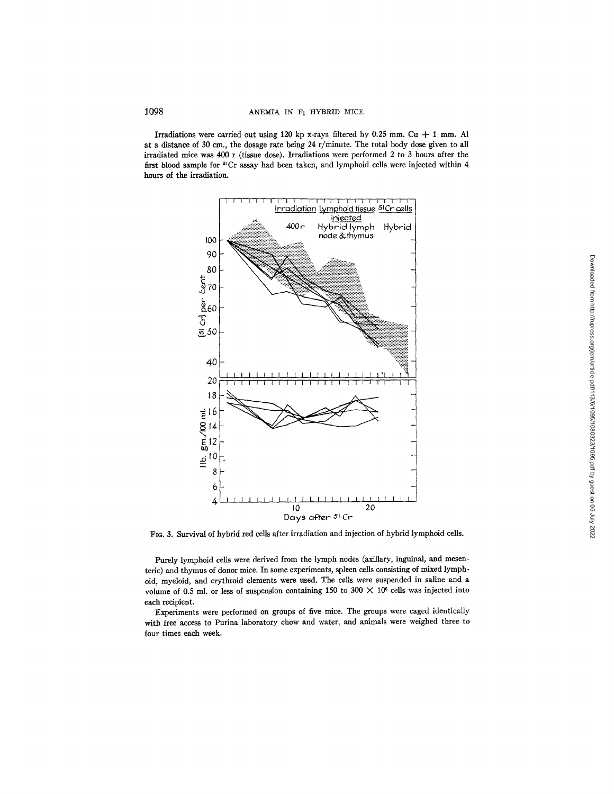Irradiations were carried out using 120 kp x-rays filtered by 0.25 mm. Cu  $+$  1 mm. Al at a distance of 30 cm., the dosage rate being 24 r/minute. The total body dose given to all irradiated mice was 400 r (tissue dose). Irradiations were performed 2 to 3 hours after the first blood sample for  $^{51}Cr$  assay had been taken, and lymphoid cells were injected within 4 hours of the irradiation.



FIo. 3. Survival of hybrid red cells after irradiation and injection of hybrid lymphoid cells.

Purely lymphoid cells were derived from the lymph nodes (axillary, inguinal, and mesenteric) and thymus of donor mice. In some experiments, spleen cells consisting of mixed lymphoid, myeloid, and erythroid elements were used. The cells were suspended in saline and a volume of 0.5 ml. or less of suspension containing 150 to 300  $\times$  10<sup>6</sup> cells was injected into each recipient.

Experiments were performed on groups of five mice. The groups were caged identically with free access to Purina laboratory chow and water, and animals were weighed three to four times each week.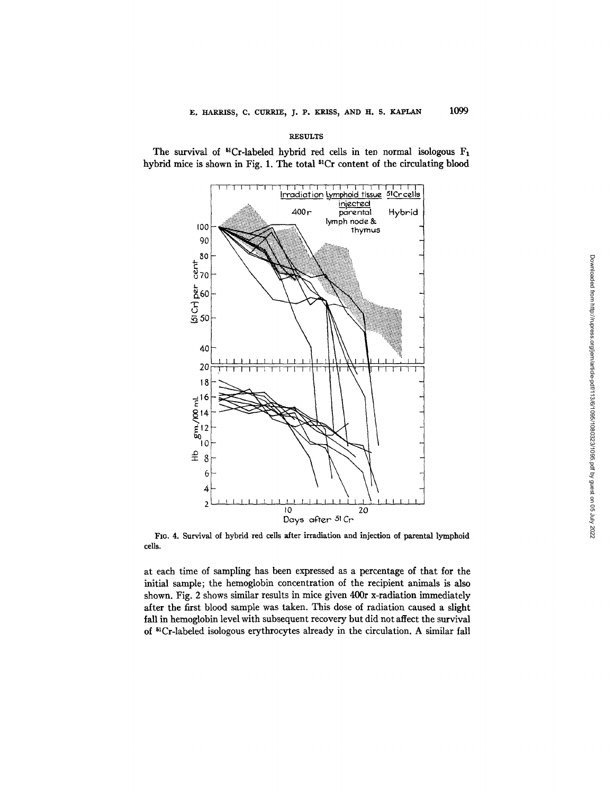#### RESULTS

The survival of  ${}^{51}Cr$ -labeled hybrid red cells in ten normal isologous  $F_1$ hybrid mice is shown in Fig. 1. The total <sup>51</sup>Cr content of the circulating blood



FIG. 4. Survival of hybrid red cells after irradiation and injection of parental lymphoid **cells.** 

at each time of sampling has been expressed as a percentage of that for the initial sample; the hemoglobin concentration of the recipient animals is also shown. Fig. 2 shows similar results in mice given 400r x-radiation immediately after the first blood sample was taken. This dose of radiation caused a slight fall in hemoglobin level with subsequent recovery but did not affect the survival of <sup>51</sup>Cr-labeled isologous erythrocytes already in the circulation. A similar fall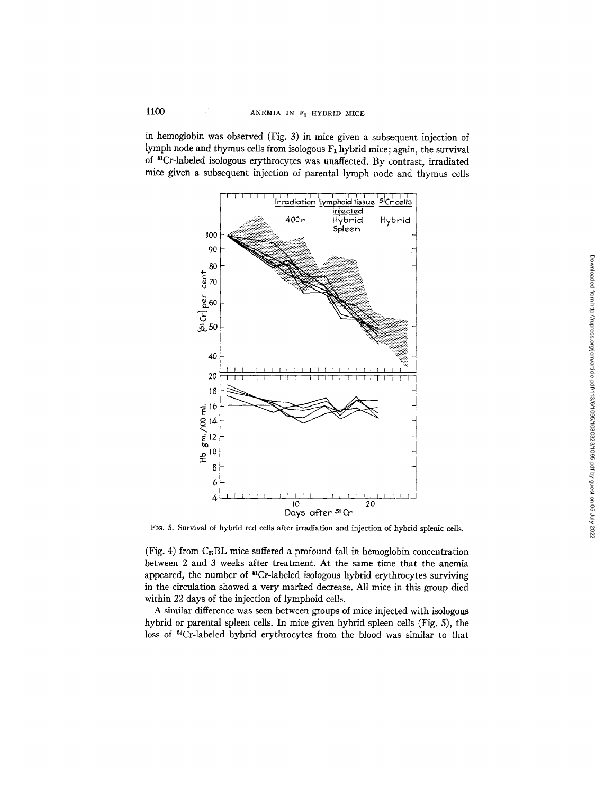in hemoglobin was observed (Fig. 3) in mice given a subsequent injection of lymph node and thymus cells from isologous F<sub>1</sub> hybrid mice; again, the survival of <sup>51</sup>Cr-labeled isologous erythrocytes was unaffected. By contrast, irradiated mice given a subsequent injection of parental lymph node and thymus cells



FIG. 5. Survival of hybrid red cells after irradiation and injection of hybrid splenic cells.

(Fig. 4) from  $C_{57}BL$  mice suffered a profound fall in hemoglobin concentration between 2 and 3 weeks after treatment. At the same time that the anemia appeared, the number of <sup>51</sup>Cr-labeled isologous hybrid erythrocytes surviving in the circulation showed a very marked decrease. All mice in this group died within 22 days of the injection of lymphoid cells.

A similar difference was seen between groups of mice injected with isologous hybrid or parental spleen cells. In mice given hybrid spleen cells (Fig. 5), the loss of <sup>51</sup>Cr-labeled hybrid erythrocytes from the blood was similar to that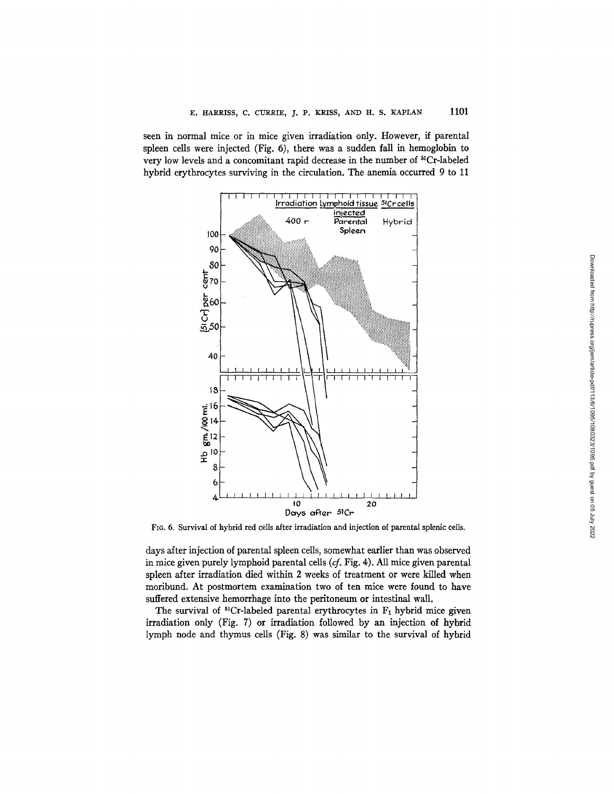seen in normal mice or in mice given irradiation only. However, if parental spleen cells were injected (Fig. 6), there was a sudden fall in hemoglobin to very low levels and a concomitant rapid decrease in the number of <sup>51</sup>Cr-labeled hybrid erythrocytes surviving in the circulation. The anemia occurred 9 to 11



Fio. 6. Survival of hybrid red ceils after irradiation and injection of parental splenic cells.

days after injection of parental spleen cells, somewhat earlier than was observed in mice given purely lymphoid parental cells *(cf.* Fig. 4). All mice given parentai spleen after irradiation died within 2 weeks of treatment or were killed when moribund. At postmortem examination two of ten mice were found to have suffered extensive hemorrhage into the peritoneum or intestinal wall.

The survival of  ${}^{51}Cr$ -labeled parental erythrocytes in  $F_1$  hybrid mice given irradiation only (Fig. 7) or irradiation followed by an injection of hybrid lymph node and thymus cells (Fig. 8) was similar to the survival of hybrid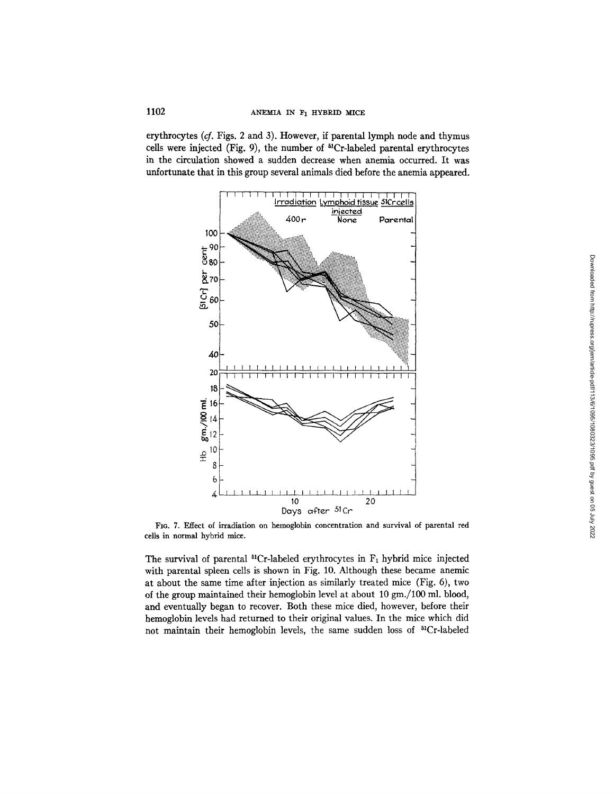erythrocytes (cf. Figs. 2 and 3). However, if parental lymph node and thymus cells were injected (Fig. 9), the number of <sup>51</sup>Cr-labeled parental erythrocytes in the circulation showed a sudden decrease when anemia occurred. It was unfortunate that in this group several animals died before the anemia appeared.



FIG. 7. Effect of irradiation on hemoglobin concentration and survival of parental red cells in normal hybrid mice.

The survival of parental  ${}^{51}Cr$ -labeled erythrocytes in  $F_1$  hybrid mice injected with parental spleen cells is shown in Fig. 10. Although these became anemic at about the same time after injection as similarly treated mice (Fig. 6), two of the group maintained their hemoglobin level at about 10 gm./100 ml. blood, and eventually began to recover. Both these mice died, however, before their hemoglobin levels had returned to their original values. In the mice which did not maintain their hemoglobin levels, the same sudden loss of <sup>51</sup>Cr-labeled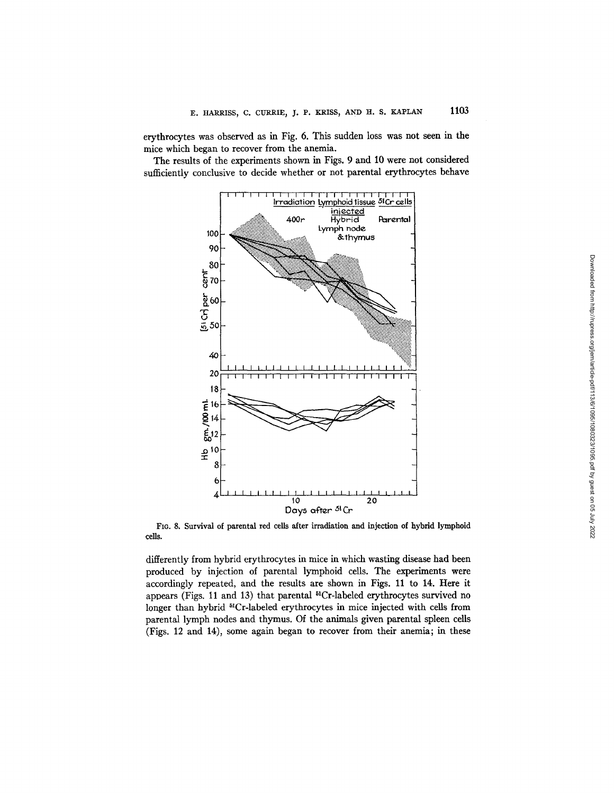erythrocytes was observed as in Fig. 6. This sudden loss was not seen in the mice which began to recover from the anemia.

The results of the experiments shown in Figs. 9 and 10 were not considered sufficiently conclusive to decide whether or not parental erythrocytes behave



FIG. 8. Survival of parental red cells after irradiation and injection of hybrid lymphoid cells.

differently from hybrid erythrocytes in mice in which wasting disease had been produced by injection of parental lymphoid cells. The experiments were accordingly repeated, and the results are shown in Figs. 11 to 14. Here it appears (Figs. 11 and 13) that parental <sup>51</sup>Cr-labeled erythrocytes survived no longer than hybrid <sup>51</sup>Cr-labeled erythrocytes in mice injected with cells from parental lymph nodes and thymus. Of the animals given parental spleen cells (Figs. 12 and 14), some again began to recover from their anemia; in these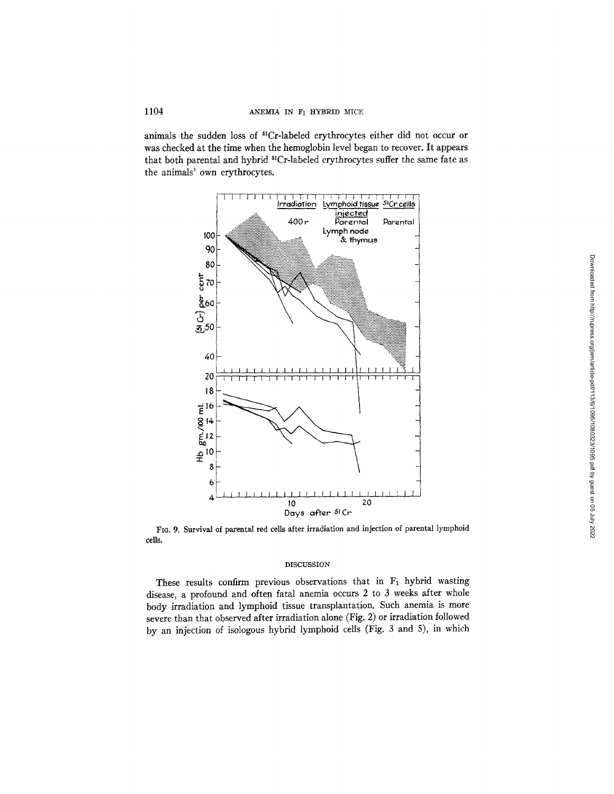animals the sudden loss of 51Cr-labeled erythrocytes either did not occur or was checked at the time when the hemoglobin level began to recover. It appears that both parental and hybrid <sup>51</sup>Cr-labeled erythrocytes suffer the same fate as the animals' own erythrocytes.



FIO. 9. Survival of parental red cells after irradiation and injection of parental lymphoid cells.

#### DISCUSSION

These results confirm previous observations that in  $F_1$  hybrid wasting disease, a profound and often fatal anemia occurs 2 to 3 weeks after whole body irradiation and lymphoid tissue transplantation. Such anemia is more severe than that observed after irradiation alone (Fig. 2) or irradiation followed by an injection of isologous hybrid lymphoid cells (Fig. 3 and 5), in which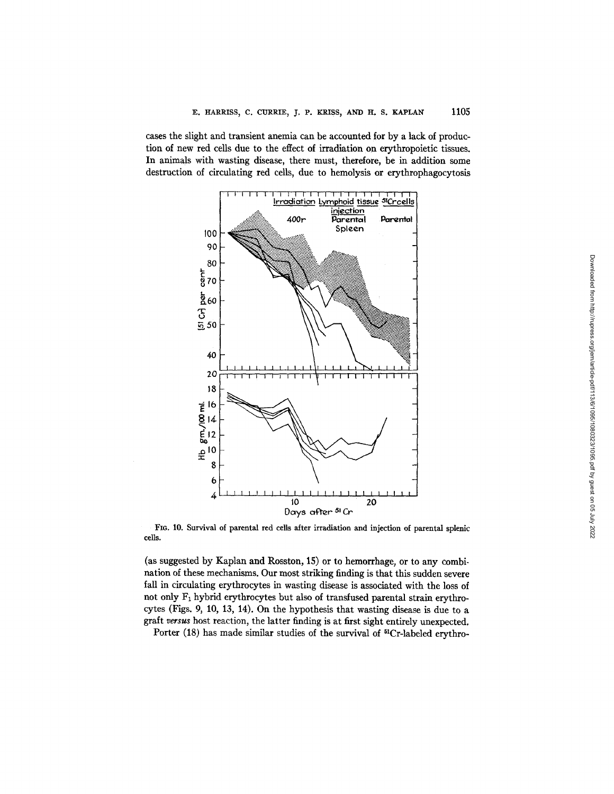cases the slight and transient anemia can be accounted for by a lack of production of new red cells due to the effect of irradiation on erythropoietic tissues. In animals with wasting disease, there must, therefore, be in addition some destruction of circulating red cells, due to hemolysis or erythrophagocytosis



FIG. 10. Survival of parental red cells after irradiation and injection of parental splenic **cells.** 

(as suggested by Kaplan and Rosston, 15) or to hemorrhage, or to any combination of these mechanisms. Our most striking finding is that this sudden severe fall in circulating erythrocytes in wasting disease is associated with the loss of not only F1 hybrid erythrocytes but also of transfused parental strain erythrocytes (Figs. 9, 10, 13, 14). On the hypothesis that wasting disease is due to a graft *versus* host reaction, the latter finding is at first sight entirely unexpected.

Porter (18) has made similar studies of the survival of  $^{51}Cr$ -labeled erythro-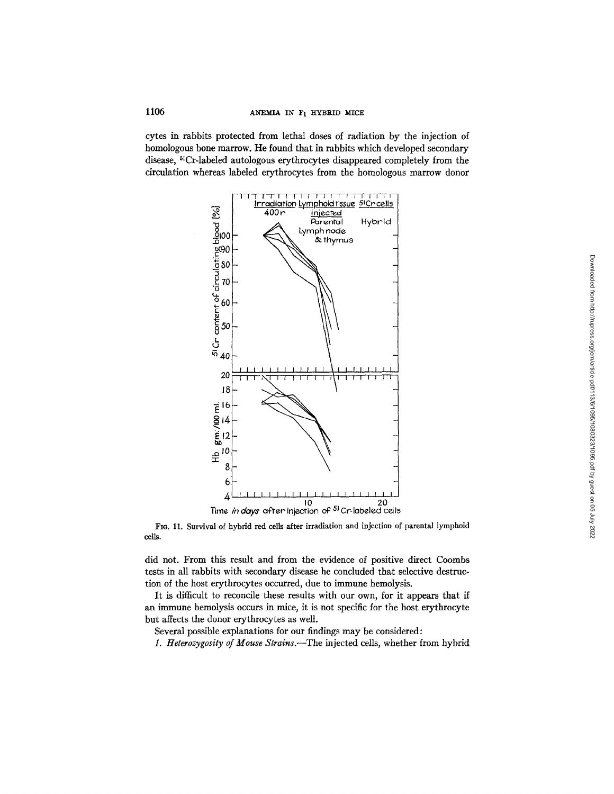cytes in rabbits protected from lethal doses of radiation by the injection of homologous bone marrow. He found that in rabbits which developed secondary disease, <sup>51</sup>Cr-labeled autologous erythrocytes disappeared completely from the circulation whereas labeled erythrocytes from the homologous marrow donor



FIG. 11. Survival of hybrid red cells after irradiation and injection of parental lymphoid cells.

did not. From this result and from the evidence of positive direct Coombs tests in all rabbits with secondary disease he concluded that selective destruction of the host erythrocytes occurred, due to immune hemolysis.

It is difficult to reconcile these results with our own, for it appears that if an immune hemolysis occurs in mice, it is not specific for the host erythrocyte but affects the donor erythrocytes as well.

Several possible explanations for our findings may be considered:

1. Heterozygosity of Mouse Strains.—The injected cells, whether from hybrid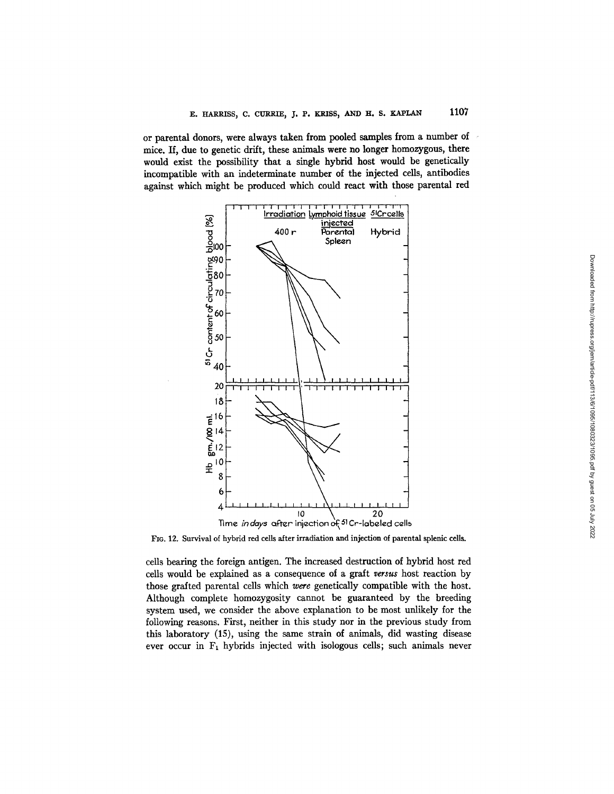or parental donors, were always taken from pooled samples from a number of mice. If, due to genetic drift, these animals were no longer homozygous, there would exist the possibility that a single hybrid host would be genetically incompatible with an indeterminate number of the injected cells, antibodies against which might be produced which could react with those parental red



FIG. 12. Survival of hybrid red cells after irradiation and injection of parental splenic cells.

cells bearing the foreign antigen. The increased destruction of hybrid host red cells would be explained as a consequence of a graft versus host reaction by those grafted parental cells which were genetically compatible with the host. Although complete homozygosity cannot be guaranteed by the breeding system used, we consider the above explanation to be most unlikely for the following reasons. First, neither in this study nor in the previous study from this laboratory (15), using the same strain of animals, did wasting disease ever occur in F<sub>1</sub> hybrids injected with isologous cells; such animals never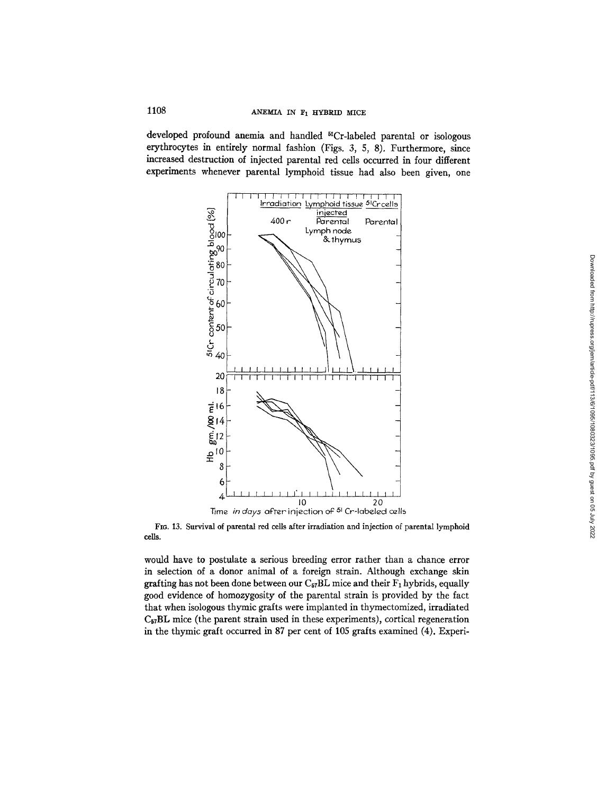developed profound anemia and handled 51Cr-labeled parental or isologous erythrocytes in entirely normal fashion (Figs. 3, 5, 8). Furthermore, since increased destruction of injected parental red cells occurred in four different experiments whenever parental lymphoid tissue had also been given, one



FIG. 13. Survival of parental red cells after irradiation and injection of parental lymphoid cells.

would have to postulate a serious breeding error rather than a chance error in selection of a donor animal of a foreign strain. Although exchange skin grafting has not been done between our  $C_{57}BL$  mice and their  $F_1$  hybrids, equally good evidence of homozygosity of the parental strain is provided by the fact that when isologous thymic grafts were implanted in thymectomized, irradiated  $C_{57}BL$  mice (the parent strain used in these experiments), cortical regeneration in the thymic graft occurred in 87 per cent of 105 grafts examined (4). Experi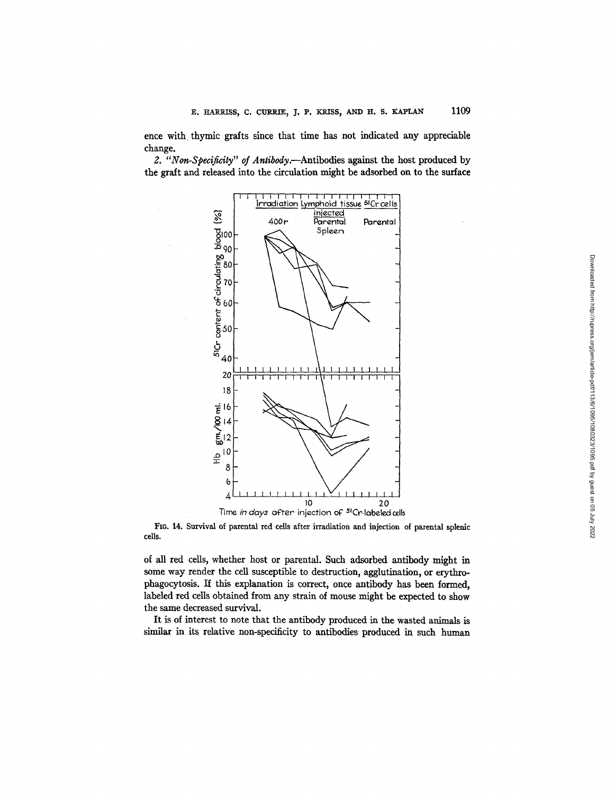ence with thymic grafts since that time has not indicated any appreciable change.

*2. "Non-Specificity" of Antibody.---Antibodies* against the host produced by the graft and released into the circulation might be adsorbed on to the surface



FIo. 14. Survival of parental red cells after irradiation and injection of parental splenic cells.

of all red cells, whether host or parental. Such adsorbed antibody might in some way render the cell susceptible to destruction, agglutination, or erythrophagocytosis. If this explanation is correct, once antibody has been formed, labeled red cells obtained from any strain of mouse might be expected to show the same decreased survival.

It is of interest to note that the antibody produced in the wasted animals is similar in its relative non-specificity to antibodies produced in such human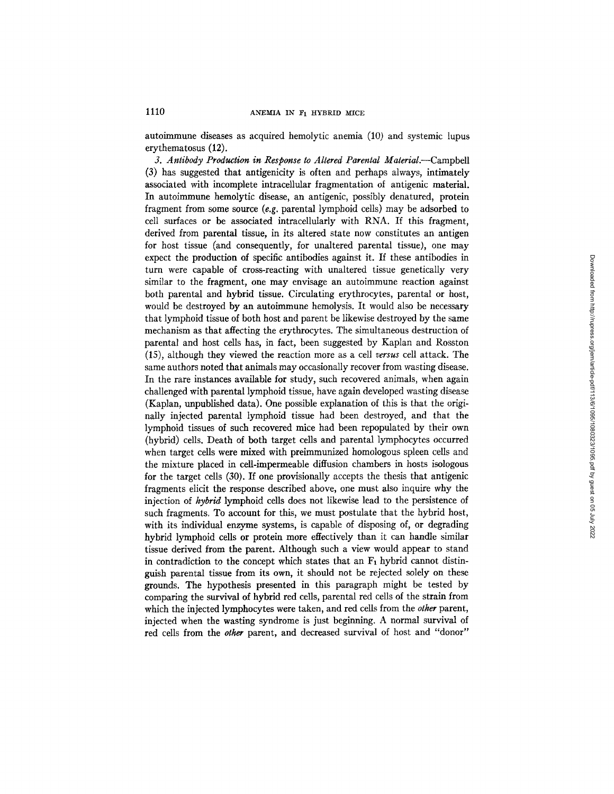autoimmune diseases as acquired hemolytic anemia (10) and systemic lupus erythematosus (12).

*3. Antibody Production in Response to Altered Parental MateriaL--Campbell*  (3) has suggested that antigenicity is often and perhaps always, intimately associated with incomplete intracellular fragmentation of antigenic material. In autoimmune hemolytic disease, an antigenic, possibly denatured, protein fragment from some source *(e.g.* parental lymphoid cells) may be adsorbed to cell surfaces or be associated intracellularly with RNA. If this fragment, derived from parental tissue, in its altered state now constitutes an antigen for host tissue (and consequently, for unaltered parental tissue), one may expect the production of specific antibodies against it. If these antibodies in turn were capable of cross-reacting with unaltered tissue genetically very similar to the fragment, one may envisage an autoimmune reaction against both parental and hybrid tissue. Circulating erythrocytes, parental or host, would be destroyed by an autoimmune hemolysis. It would also be necessary that lymphoid tissue of both host and parent be likewise destroyed by the same mechanism as that affecting the erythrocytes. The simultaneous destruction of parental and host cells has, in fact, been suggested by Kaplan and Rosston (15), although they viewed the reaction more as a cell *versus* cell attack. The same authors noted that animals may occasionally recover from wasting disease. In the rare instances available for study, such recovered animals, when again challenged with parental lymphoid tissue, have again developed wasting disease (Kaplan, unpublished data). One possible explanation of this is that the originally injected parental lymphoid tissue had been destroyed, and that the lymphoid tissues of such recovered mice had been repopulated by their own (hybrid) cells. Death of both target cells and parental lymphocytes occurred when target cells were mixed with preimmunized homologous spleen cells and the mixture placed in cell-impermeable diffusion chambers in hosts isologous for the target cells (30). If one provisionally accepts the thesis that antigenic fragments elicit the response described above, one must also inquire why the injection of *hybrid* lymphoid cells does not likewise lead to the persistence of such fragments. To account for this, we must postulate that the hybrid host, with its individual enzyme systems, is capable of disposing of, or degrading hybrid lymphoid cells or protein more effectively than it can handle similar tissue derived from the parent. Although such a view would appear to stand in contradiction to the concept which states that an  $F_1$  hybrid cannot distinguish parental tissue from its own, it should not be rejected solely on these grounds. The hypothesis presented in this paragraph might be tested by comparing the survival of hybrid red cells, parental red cells of the strain from which the injected lymphocytes were taken, and red cells from the *other* parent, injected when the wasting syndrome is just beginning. A normal survival of red cells from the *other* parent, and decreased survival of host and "donor"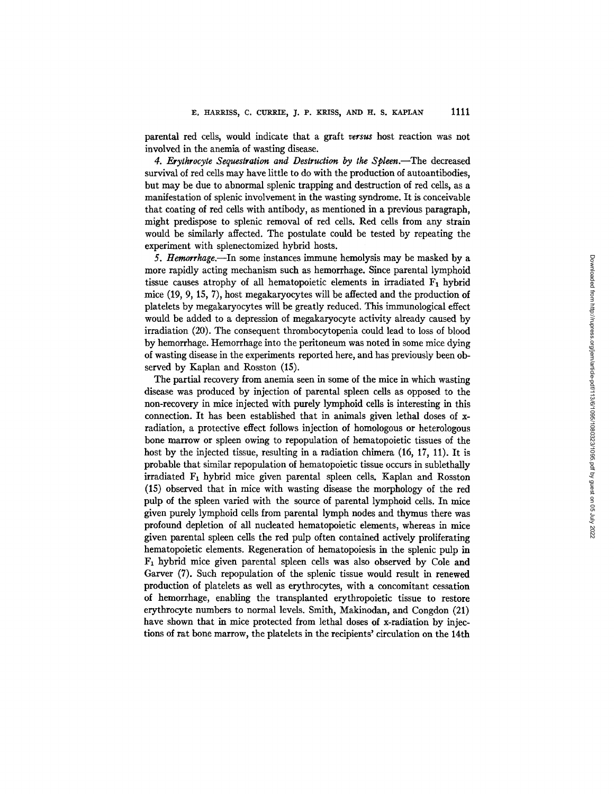parental red cells, would indicate that a graft *versus* host reaction was not involved in the anemia of wasting disease.

4. Erythrocyte Sequestration and Destruction by the Spleen.—The decreased survival of red cells may have little to do with the production of autoantibodies, but may be due to abnormal splenic trapping and destruction of red cells, as a manifestation of splenic involvement in the wasting syndrome. It is conceivable that coating of red cells with antibody, as mentioned in a previous paragraph, might predispose to splenic removal of red cells. Red cells from any strain would be similarly affected. The postulate could be tested by repeating the experiment with splenectomized hybrid hosts.

*5. Hemorrhage.--In* some instances immune hemolysis may be masked by a more rapidly acting mechanism such as hemorrhage. Since parental lymphoid tissue causes atrophy of all hematopoietic elements in irradiated  $F_1$  hybrid mice (19, 9, 15, 7), host megakaryocytes will be affected and the production of platelets by megakaryocytes will be greatly reduced. This immunological effect would be added to a depression of megakaryocyte activity already caused by irradiation (20). The consequent thrombocytopenia could lead to loss of blood by hemorrhage. Hemorrhage into the peritoneum was noted in some mice dying of wasting disease in the experiments reported here, and has previously been observed by Kaplan and Rosston (15).

The partial recovery from anemia seen in some of the mice in which wasting disease was produced by injection of parental spleen cells as opposed to the non-recovery in mice injected with purely lymphoid cells is interesting in this connection. It has been established that in animals given lethal doses of xradiation, a protective effect follows injection of homologous or heterologous bone marrow or spleen owing to repopulation of hematopoietic tissues of the host by the injected tissue, resulting in a radiation chimera (16, 17, 11). It is probable that similar repopulation of hematopoietic tissue occurs in sublethally irradiated F1 hybrid mice given parental spleen cells. Kaplan and Rosston (15) observed that in mice with wasting disease the morphology of the red pulp of the spleen varied with the source of parental lymphoid cells. In mice given purely lymphoid cells from parental lymph nodes and thymus there was profound depletion of all nucleated hematopoietic elements, whereas in mice given parental spleen cells the red pulp often contained actively proliferating hematopoietic elements. Regeneration of hematopoiesis in the splenic pulp in F1 hybrid mice given parental spleen cells was also observed by Cole and Gaxver (7). Such repopulation of the splenic tissue would result in renewed production of platelets as well as erythrocytes, with a concomitant cessation of hemorrhage, enabling the transplanted erythropoietic tissue to restore erythrocyte numbers to normal levels. Smith, Makinodan, and Congdon (21) have shown that in mice protected from lethal doses of x-radiation by injections of rat bone marrow, the platelets in the recipients' circulation on the 14th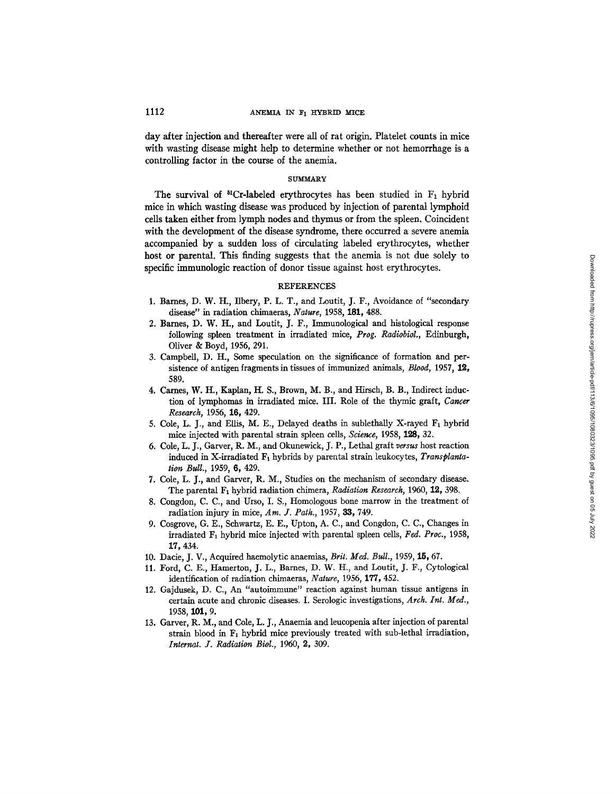day after injection and thereafter were all of rat origin. Platelet counts in mice with wasting disease might help to determine whether or not hemorrhage is a controlling factor in the course of the anemia.

### SUMMARY

The survival of  ${}^{51}Cr$ -labeled erythrocytes has been studied in  $F_1$  hybrid mice in which wasting disease was produced by injection of parental lymphoid cells taken either from lymph nodes and thymus or from the spleen. Coincident with the development of the disease syndrome, there occurred a severe anemia accompanied by a sudden loss of circulating labeled erythrocytes, whether host or parental. This finding suggests that the anemia is not due solely to specific immunologic reaction of donor tissue against host erythrocytes.

# REFERENCES

- 1. Barnes, D. W. H., Ilbery, P. L. T., and Loutit, J. F., Avoidance of "secondary disease" in radiation chimaeras, *Nature,* 1958, 181, 488.
- 2. Barnes, D. W. H., and Loutit, J. F., Immunological and histological response following spleen treatment in irradiated mice, Prog. Radiobiol., Edinburgh, Oliver & Boyd, 1956, 291.
- 3. Campbell, D. H., Some speculation on the significance of formation and persistence of antigen fragments in tissues of immunized animals, *Blood,* 1957, 12, 589.
- 4. Carnes, W. H., Kaplan, H. S., Brown, M. B., and Hirsch, B. B., Indirect induction of lymphomas in irradiated mice. III. Role of the thymic graft, *Cancer Research, 1956,* 16, 429.
- 5. Cole, L. J., and Ellis, M. E., Delayed deaths in sublethally X-rayed  $F_1$  hybrid mice injected with parental strain spleen cells, *Science,* 1958, 128, 32.
- 6. Cole, L. J., Garver, R. M., and Okunewick, J. P., Lethal graft *versus* host reaction induced in X-irradiated F1 hybrids by parental strain leukocytes, *Transplantation Bull.,* 1959, 6, 429.
- 7. Cole, L. J., and Garver, R. M., Studies on the mechanism of secondary disease. The parental F1 hybrid radiation chimera, *Radiation Research,* 1960, 12, 398.
- 8. Congdon, C. C., and Urso, I. S., Homologous bone marrow in the treatment of radiation injury in mice, *Am. J. Path.,* 1957, 33, 749.
- 9. Cosgrove, G. E., Schwartz, E. E., Upton, A. C., and Congdon, C. C., Changes in irradiated F, hybrid mice injected with parental spleen cells, *Fed. Proc.,* 1958, 17, 434.
- 10. Dacie, J. V., Acquired haemolytic anaemias, *Brit. Med. Bull.,* 1959, 15, 67.
- **11.** Ford, C. E., Hamerton, J. L., Barnes, D. W. H., and Loutit, J. F., Cytological identification of radiation chimaeras, *Nature,* 1956, 177, 452.
- 12. Gajdusek, D. C., An "autoimmune" reaction against human tissue antigens in certain acute and chronic diseases. I. Serologic investigations, *Arch. Int. Med.,*  1958, 101, 9.
- 13. Garver, R. M., and Cole, L. J., Anaemia and leucopenia after injection of parental strain blood in F, hybrid mice previously treated with sub-lethal irradiation, *Internat. J. Radiation Biol.,* 1960, 2, 309.